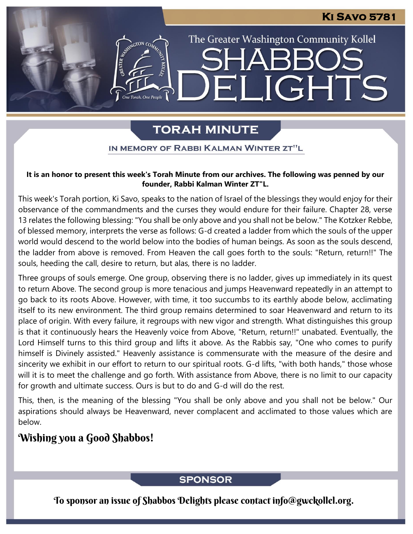## **Ki Savo 5781**

The Greater Washington Community Kollel

ELIGHTS

# **TORAH MINUTE**

#### IN MEMORY OF RABBI KALMAN WINTER ZT"L

#### **It is an honor to present this week's Torah Minute from our archives. The following was penned by our founder, Rabbi Kalman Winter ZT"L.**

This week's Torah portion, Ki Savo, speaks to the nation of Israel of the blessings they would enjoy for their observance of the commandments and the curses they would endure for their failure. Chapter 28, verse 13 relates the following blessing: "You shall be only above and you shall not be below." The Kotzker Rebbe, of blessed memory, interprets the verse as follows: G-d created a ladder from which the souls of the upper world would descend to the world below into the bodies of human beings. As soon as the souls descend, the ladder from above is removed. From Heaven the call goes forth to the souls: "Return, return!!" The souls, heeding the call, desire to return, but alas, there is no ladder.

Three groups of souls emerge. One group, observing there is no ladder, gives up immediately in its quest to return Above. The second group is more tenacious and jumps Heavenward repeatedly in an attempt to go back to its roots Above. However, with time, it too succumbs to its earthly abode below, acclimating itself to its new environment. The third group remains determined to soar Heavenward and return to its place of origin. With every failure, it regroups with new vigor and strength. What distinguishes this group is that it continuously hears the Heavenly voice from Above, "Return, return!!" unabated. Eventually, the Lord Himself turns to this third group and lifts it above. As the Rabbis say, "One who comes to purify himself is Divinely assisted." Heavenly assistance is commensurate with the measure of the desire and sincerity we exhibit in our effort to return to our spiritual roots. G-d lifts, "with both hands," those whose will it is to meet the challenge and go forth. With assistance from Above, there is no limit to our capacity for growth and ultimate success. Ours is but to do and G-d will do the rest.

This, then, is the meaning of the blessing "You shall be only above and you shall not be below." Our aspirations should always be Heavenward, never complacent and acclimated to those values which are below.

## Wishing you a Good Shabbos!

#### **SPONSOR**

To sponsor an issue of Shabbos Delights please contact info@gwckollel.org.